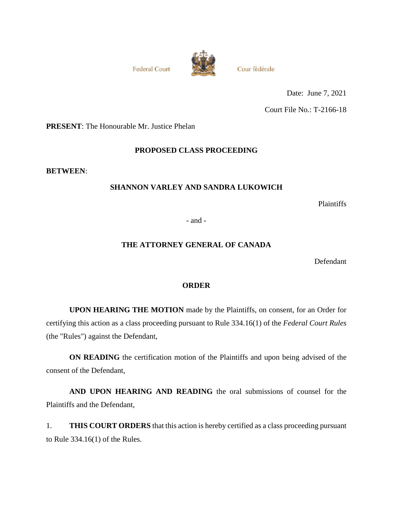**Federal Court** 



Cour fédérale

Date: June 7, 2021 Court File No.: T-2166-18

**PRESENT**: The Honourable Mr. Justice Phelan

### **PROPOSED CLASS PROCEEDING**

**BETWEEN**:

### **SHANNON VARLEY AND SANDRA LUKOWICH**

Plaintiffs

- and -

### **THE ATTORNEY GENERAL OF CANADA**

Defendant

### **ORDER**

**UPON HEARING THE MOTION** made by the Plaintiffs, on consent, for an Order for certifying this action as a class proceeding pursuant to Rule 334.16(1) of the *Federal Court Rules* (the "Rules") against the Defendant,

**ON READING** the certification motion of the Plaintiffs and upon being advised of the consent of the Defendant,

**AND UPON HEARING AND READING** the oral submissions of counsel for the Plaintiffs and the Defendant,

1. **THIS COURT ORDERS** that this action is hereby certified as a class proceeding pursuant to Rule 334.16(1) of the Rules.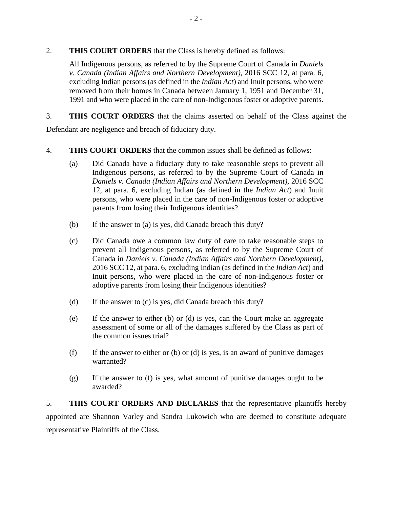### 2. **THIS COURT ORDERS** that the Class is hereby defined as follows:

All Indigenous persons, as referred to by the Supreme Court of Canada in *Daniels v. Canada (Indian Affairs and Northern Development)*, 2016 SCC 12, at para. 6, excluding Indian persons (as defined in the *Indian Act*) and Inuit persons, who were removed from their homes in Canada between January 1, 1951 and December 31, 1991 and who were placed in the care of non-Indigenous foster or adoptive parents.

3. **THIS COURT ORDERS** that the claims asserted on behalf of the Class against the

Defendant are negligence and breach of fiduciary duty.

- 4. **THIS COURT ORDERS** that the common issues shall be defined as follows:
	- (a) Did Canada have a fiduciary duty to take reasonable steps to prevent all Indigenous persons, as referred to by the Supreme Court of Canada in *Daniels v. Canada (Indian Affairs and Northern Development)*, 2016 SCC 12, at para. 6, excluding Indian (as defined in the *Indian Act*) and Inuit persons, who were placed in the care of non-Indigenous foster or adoptive parents from losing their Indigenous identities?
	- (b) If the answer to (a) is yes, did Canada breach this duty?
	- (c) Did Canada owe a common law duty of care to take reasonable steps to prevent all Indigenous persons, as referred to by the Supreme Court of Canada in *Daniels v. Canada (Indian Affairs and Northern Development)*, 2016 SCC 12, at para. 6, excluding Indian (as defined in the *Indian Act*) and Inuit persons, who were placed in the care of non-Indigenous foster or adoptive parents from losing their Indigenous identities?
	- (d) If the answer to (c) is yes, did Canada breach this duty?
	- (e) If the answer to either (b) or (d) is yes, can the Court make an aggregate assessment of some or all of the damages suffered by the Class as part of the common issues trial?
	- (f) If the answer to either or (b) or (d) is yes, is an award of punitive damages warranted?
	- (g) If the answer to (f) is yes, what amount of punitive damages ought to be awarded?

5. **THIS COURT ORDERS AND DECLARES** that the representative plaintiffs hereby appointed are Shannon Varley and Sandra Lukowich who are deemed to constitute adequate representative Plaintiffs of the Class.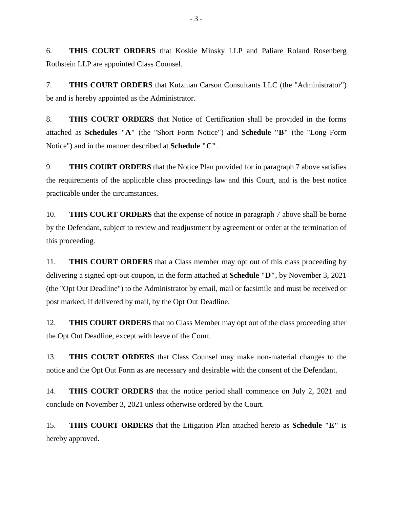6. **THIS COURT ORDERS** that Koskie Minsky LLP and Paliare Roland Rosenberg Rothstein LLP are appointed Class Counsel.

7. **THIS COURT ORDERS** that Kutzman Carson Consultants LLC (the "Administrator") be and is hereby appointed as the Administrator.

8. **THIS COURT ORDERS** that Notice of Certification shall be provided in the forms attached as **Schedules "A"** (the "Short Form Notice") and **Schedule "B"** (the "Long Form Notice") and in the manner described at **Schedule "C"**.

9. **THIS COURT ORDERS** that the Notice Plan provided for in paragraph 7 above satisfies the requirements of the applicable class proceedings law and this Court, and is the best notice practicable under the circumstances.

10. **THIS COURT ORDERS** that the expense of notice in paragraph 7 above shall be borne by the Defendant, subject to review and readjustment by agreement or order at the termination of this proceeding.

11. **THIS COURT ORDERS** that a Class member may opt out of this class proceeding by delivering a signed opt-out coupon, in the form attached at **Schedule "D"**, by November 3, 2021 (the "Opt Out Deadline") to the Administrator by email, mail or facsimile and must be received or post marked, if delivered by mail, by the Opt Out Deadline.

12. **THIS COURT ORDERS** that no Class Member may opt out of the class proceeding after the Opt Out Deadline, except with leave of the Court.

13. **THIS COURT ORDERS** that Class Counsel may make non-material changes to the notice and the Opt Out Form as are necessary and desirable with the consent of the Defendant.

14. **THIS COURT ORDERS** that the notice period shall commence on July 2, 2021 and conclude on November 3, 2021 unless otherwise ordered by the Court.

15. **THIS COURT ORDERS** that the Litigation Plan attached hereto as **Schedule "E"** is hereby approved.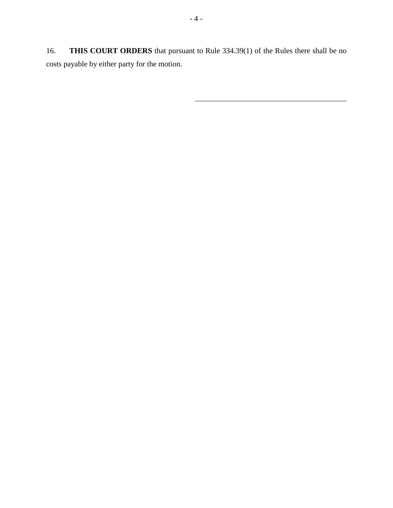16. **THIS COURT ORDERS** that pursuant to Rule 334.39(1) of the Rules there shall be no costs payable by either party for the motion.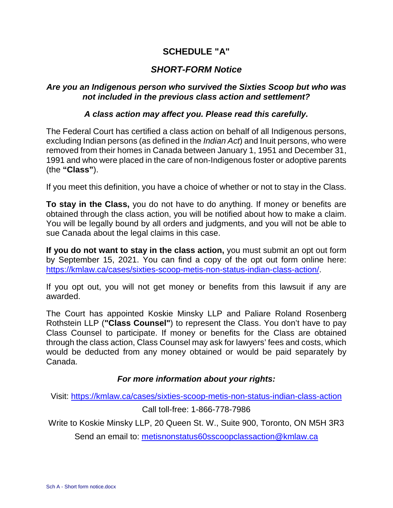# **SCHEDULE "A"**

# *SHORT-FORM Notice*

### *Are you an Indigenous person who survived the Sixties Scoop but who was not included in the previous class action and settlement?*

### *A class action may affect you. Please read this carefully.*

The Federal Court has certified a class action on behalf of all Indigenous persons, excluding Indian persons (as defined in the *Indian Act*) and Inuit persons, who were removed from their homes in Canada between January 1, 1951 and December 31, 1991 and who were placed in the care of non-Indigenous foster or adoptive parents (the **"Class"**).

If you meet this definition, you have a choice of whether or not to stay in the Class.

**To stay in the Class,** you do not have to do anything. If money or benefits are obtained through the class action, you will be notified about how to make a claim. You will be legally bound by all orders and judgments, and you will not be able to sue Canada about the legal claims in this case.

**If you do not want to stay in the class action,** you must submit an opt out form by September 15, 2021. You can find a copy of the opt out form online here: <https://kmlaw.ca/cases/sixties-scoop-metis-non-status-indian-class-action/>.

If you opt out, you will not get money or benefits from this lawsuit if any are awarded.

The Court has appointed Koskie Minsky LLP and Paliare Roland Rosenberg Rothstein LLP (**"Class Counsel"**) to represent the Class. You don't have to pay Class Counsel to participate. If money or benefits for the Class are obtained through the class action, Class Counsel may ask for lawyers' fees and costs, which would be deducted from any money obtained or would be paid separately by Canada.

## *For more information about your rights:*

Visit: <https://kmlaw.ca/cases/sixties-scoop-metis-non-status-indian-class-action>

### Call toll-free: 1-866-778-7986

Write to Koskie Minsky LLP, 20 Queen St. W., Suite 900, Toronto, ON M5H 3R3

Send an email to: [metisnonstatus60sscoopclassaction@kmlaw.ca](mailto:metisnonstatus60sscoopclassaction@kmlaw.ca)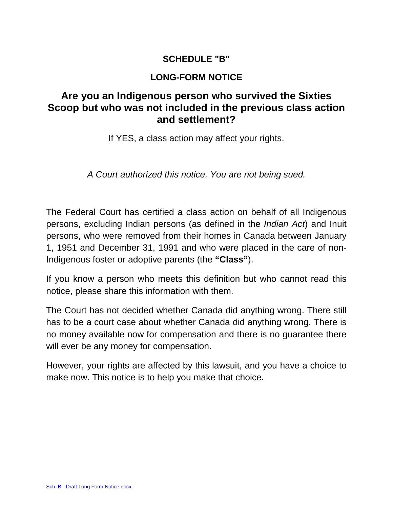# **SCHEDULE "B"**

# **LONG-FORM NOTICE**

# **Are you an Indigenous person who survived the Sixties Scoop but who was not included in the previous class action and settlement?**

If YES, a class action may affect your rights.

*A Court authorized this notice. You are not being sued.* 

The Federal Court has certified a class action on behalf of all Indigenous persons, excluding Indian persons (as defined in the *Indian Act*) and Inuit persons, who were removed from their homes in Canada between January 1, 1951 and December 31, 1991 and who were placed in the care of non-Indigenous foster or adoptive parents (the **"Class"**).

If you know a person who meets this definition but who cannot read this notice, please share this information with them.

The Court has not decided whether Canada did anything wrong. There still has to be a court case about whether Canada did anything wrong. There is no money available now for compensation and there is no guarantee there will ever be any money for compensation.

However, your rights are affected by this lawsuit, and you have a choice to make now. This notice is to help you make that choice.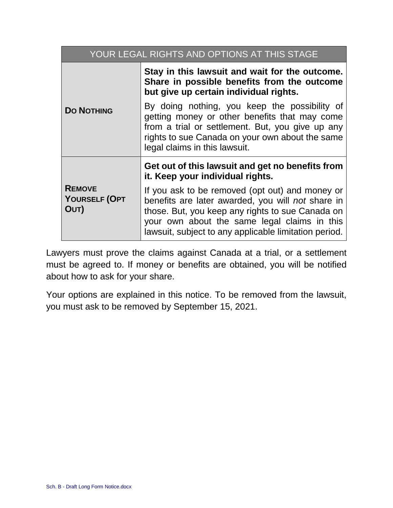| YOUR LEGAL RIGHTS AND OPTIONS AT THIS STAGE |                                                                                                                                                                                                                                                                   |  |
|---------------------------------------------|-------------------------------------------------------------------------------------------------------------------------------------------------------------------------------------------------------------------------------------------------------------------|--|
| <b>DO NOTHING</b>                           | Stay in this lawsuit and wait for the outcome.<br>Share in possible benefits from the outcome<br>but give up certain individual rights.                                                                                                                           |  |
|                                             | By doing nothing, you keep the possibility of<br>getting money or other benefits that may come<br>from a trial or settlement. But, you give up any<br>rights to sue Canada on your own about the same<br>legal claims in this lawsuit.                            |  |
|                                             | Get out of this lawsuit and get no benefits from<br>it. Keep your individual rights.                                                                                                                                                                              |  |
| <b>REMOVE</b><br>YOURSELF (OPT<br>OUT)      | If you ask to be removed (opt out) and money or<br>benefits are later awarded, you will not share in<br>those. But, you keep any rights to sue Canada on<br>your own about the same legal claims in this<br>lawsuit, subject to any applicable limitation period. |  |

Lawyers must prove the claims against Canada at a trial, or a settlement must be agreed to. If money or benefits are obtained, you will be notified about how to ask for your share.

Your options are explained in this notice. To be removed from the lawsuit, you must ask to be removed by September 15, 2021.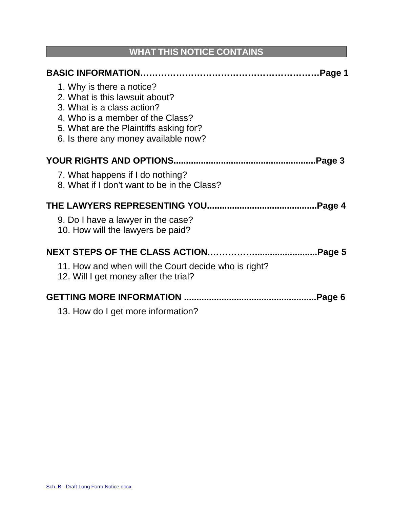# **WHAT THIS NOTICE CONTAINS**

| 1. Why is there a notice?<br>2. What is this lawsuit about?<br>3. What is a class action?<br>4. Who is a member of the Class?<br>5. What are the Plaintiffs asking for?<br>6. Is there any money available now? |  |
|-----------------------------------------------------------------------------------------------------------------------------------------------------------------------------------------------------------------|--|
|                                                                                                                                                                                                                 |  |
| 7. What happens if I do nothing?<br>8. What if I don't want to be in the Class?                                                                                                                                 |  |
|                                                                                                                                                                                                                 |  |
| 9. Do I have a lawyer in the case?<br>10. How will the lawyers be paid?                                                                                                                                         |  |
|                                                                                                                                                                                                                 |  |
| 11. How and when will the Court decide who is right?<br>12. Will I get money after the trial?                                                                                                                   |  |
| Page 6.                                                                                                                                                                                                         |  |
| 13. How do I get more information?                                                                                                                                                                              |  |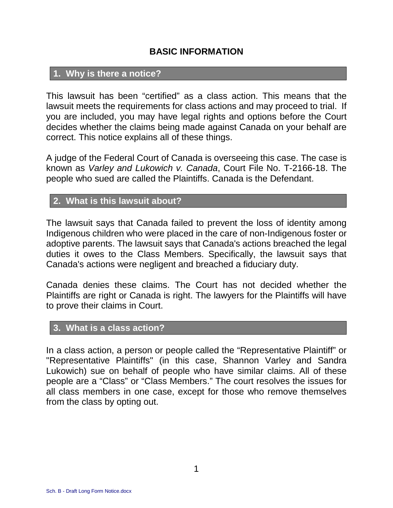# **BASIC INFORMATION**

## **1. Why is there a notice?**

This lawsuit has been "certified" as a class action. This means that the lawsuit meets the requirements for class actions and may proceed to trial. If you are included, you may have legal rights and options before the Court decides whether the claims being made against Canada on your behalf are correct. This notice explains all of these things.

A judge of the Federal Court of Canada is overseeing this case. The case is known as *Varley and Lukowich v. Canada*, Court File No. T-2166-18. The people who sued are called the Plaintiffs. Canada is the Defendant.

## **2. What is this lawsuit about?**

The lawsuit says that Canada failed to prevent the loss of identity among Indigenous children who were placed in the care of non-Indigenous foster or adoptive parents. The lawsuit says that Canada's actions breached the legal duties it owes to the Class Members. Specifically, the lawsuit says that Canada's actions were negligent and breached a fiduciary duty.

Canada denies these claims. The Court has not decided whether the Plaintiffs are right or Canada is right. The lawyers for the Plaintiffs will have to prove their claims in Court.

## **3. What is a class action?**

In a class action, a person or people called the "Representative Plaintiff" or "Representative Plaintiffs" (in this case, Shannon Varley and Sandra Lukowich) sue on behalf of people who have similar claims. All of these people are a "Class" or "Class Members." The court resolves the issues for all class members in one case, except for those who remove themselves from the class by opting out.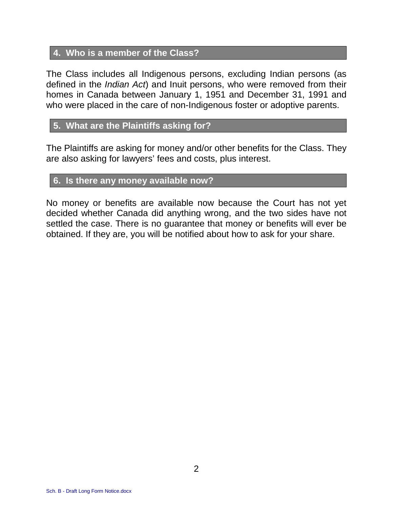# **4. Who is a member of the Class?**

The Class includes all Indigenous persons, excluding Indian persons (as defined in the *Indian Act*) and Inuit persons, who were removed from their homes in Canada between January 1, 1951 and December 31, 1991 and who were placed in the care of non-Indigenous foster or adoptive parents.

# **5. What are the Plaintiffs asking for?**

The Plaintiffs are asking for money and/or other benefits for the Class. They are also asking for lawyers' fees and costs, plus interest.

## **6. Is there any money available now?**

No money or benefits are available now because the Court has not yet decided whether Canada did anything wrong, and the two sides have not settled the case. There is no guarantee that money or benefits will ever be obtained. If they are, you will be notified about how to ask for your share.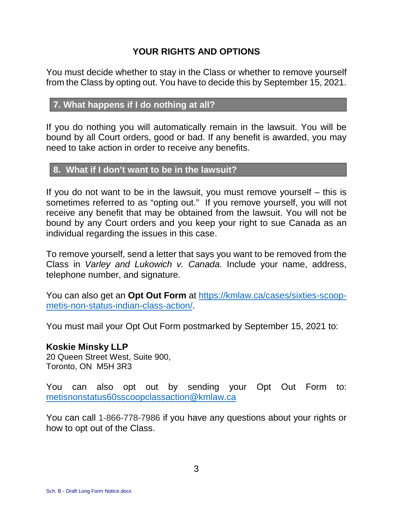# **YOUR RIGHTS AND OPTIONS**

You must decide whether to stay in the Class or whether to remove yourself from the Class by opting out. You have to decide this by September 15, 2021.

# **7. What happens if I do nothing at all?**

If you do nothing you will automatically remain in the lawsuit. You will be bound by all Court orders, good or bad. If any benefit is awarded, you may need to take action in order to receive any benefits.

## **8. What if I don't want to be in the lawsuit?**

If you do not want to be in the lawsuit, you must remove yourself – this is sometimes referred to as "opting out." If you remove yourself, you will not receive any benefit that may be obtained from the lawsuit. You will not be bound by any Court orders and you keep your right to sue Canada as an individual regarding the issues in this case.

To remove yourself, send a letter that says you want to be removed from the Class in *Varley and Lukowich v. Canada.* Include your name, address, telephone number, and signature.

You can also get an **Opt Out Form** at [https://kmlaw.ca/cases/sixties-scoop](https://kmlaw.ca/cases/sixties-scoop-metis-non-status-indian-class-action/)[metis-non-status-indian-class-action/.](https://kmlaw.ca/cases/sixties-scoop-metis-non-status-indian-class-action/) 

You must mail your Opt Out Form postmarked by September 15, 2021 to:

## **Koskie Minsky LLP**

20 Queen Street West, Suite 900, Toronto, ON M5H 3R3

You can also opt out by sending your Opt Out Form to: [metisnonstatus60sscoopclassaction@kmlaw.ca](mailto:metisnonstatus60sscoopclassaction@kmlaw.ca)

You can call 1-866-778-7986 if you have any questions about your rights or how to opt out of the Class.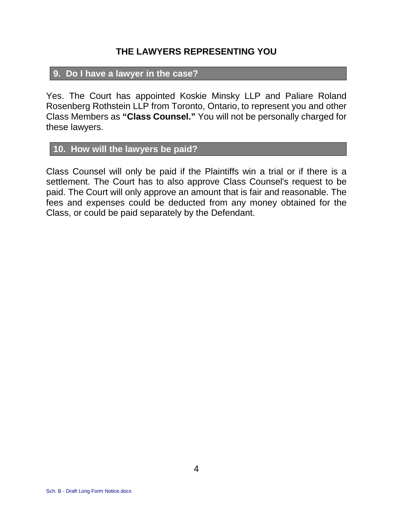## **THE LAWYERS REPRESENTING YOU**

# **9. Do I have a lawyer in the case?**

Yes. The Court has appointed Koskie Minsky LLP and Paliare Roland Rosenberg Rothstein LLP from Toronto, Ontario, to represent you and other Class Members as **"Class Counsel."** You will not be personally charged for these lawyers.

# **10. How will the lawyers be paid?**

Class Counsel will only be paid if the Plaintiffs win a trial or if there is a settlement. The Court has to also approve Class Counsel's request to be paid. The Court will only approve an amount that is fair and reasonable. The fees and expenses could be deducted from any money obtained for the Class, or could be paid separately by the Defendant.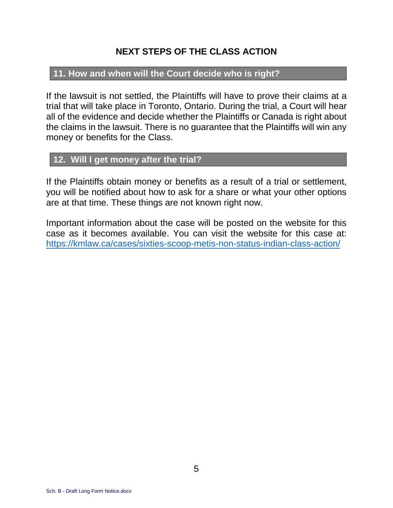# **NEXT STEPS OF THE CLASS ACTION**

## **11. How and when will the Court decide who is right?**

If the lawsuit is not settled, the Plaintiffs will have to prove their claims at a trial that will take place in Toronto, Ontario. During the trial, a Court will hear all of the evidence and decide whether the Plaintiffs or Canada is right about the claims in the lawsuit. There is no guarantee that the Plaintiffs will win any money or benefits for the Class.

## **12. Will I get money after the trial?**

If the Plaintiffs obtain money or benefits as a result of a trial or settlement, you will be notified about how to ask for a share or what your other options are at that time. These things are not known right now.

Important information about the case will be posted on the website for this case as it becomes available. You can visit the website for this case at: <https://kmlaw.ca/cases/sixties-scoop-metis-non-status-indian-class-action/>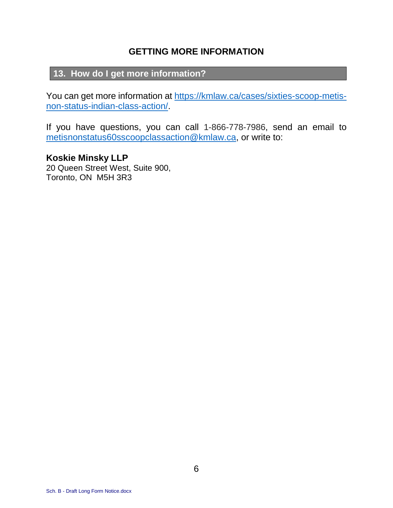# **GETTING MORE INFORMATION**

# **13. How do I get more information?**

You can get more information at [https://kmlaw.ca/cases/sixties-scoop-metis](https://kmlaw.ca/cases/sixties-scoop-metis-non-status-indian-class-action/)[non-status-indian-class-action/.](https://kmlaw.ca/cases/sixties-scoop-metis-non-status-indian-class-action/) 

If you have questions, you can call 1-866-778-7986, send an email to [metisnonstatus60sscoopclassaction@kmlaw.ca](mailto:metisnonstatus60sscoopclassaction@kmlaw.ca), or write to:

**Koskie Minsky LLP**  20 Queen Street West, Suite 900, Toronto, ON M5H 3R3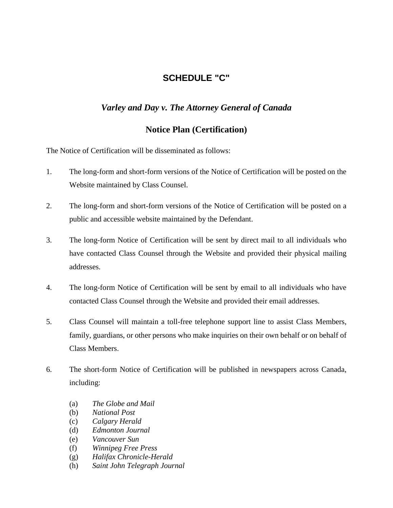## **SCHEDULE "C"**

### *Varley and Day v. The Attorney General of Canada*

### **Notice Plan (Certification)**

The Notice of Certification will be disseminated as follows:

- 1. The long-form and short-form versions of the Notice of Certification will be posted on the Website maintained by Class Counsel.
- 2. The long-form and short-form versions of the Notice of Certification will be posted on a public and accessible website maintained by the Defendant.
- 3. The long-form Notice of Certification will be sent by direct mail to all individuals who have contacted Class Counsel through the Website and provided their physical mailing addresses.
- 4. The long-form Notice of Certification will be sent by email to all individuals who have contacted Class Counsel through the Website and provided their email addresses.
- 5. Class Counsel will maintain a toll-free telephone support line to assist Class Members, family, guardians, or other persons who make inquiries on their own behalf or on behalf of Class Members.
- 6. The short-form Notice of Certification will be published in newspapers across Canada, including:
	- (a) *The Globe and Mail*
	- (b) *National Post*
	- (c) *Calgary Herald*
	- (d) *Edmonton Journal*
	- (e) *Vancouver Sun*
	- (f) *Winnipeg Free Press*
	- (g) *Halifax Chronicle-Herald*
	- (h) *Saint John Telegraph Journal*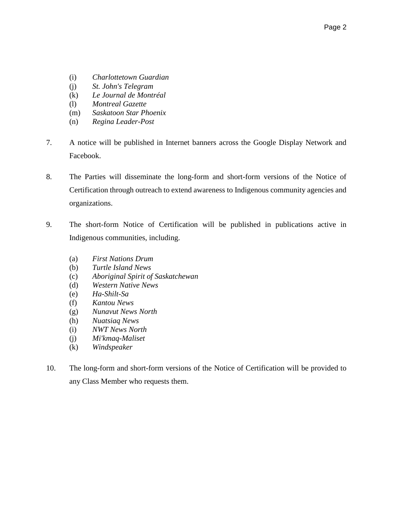- (i) *Charlottetown Guardian*
- (j) *St. John's Telegram*
- (k) *Le Journal de Montréal*
- (l) *Montreal Gazette*
- (m) *Saskatoon Star Phoenix*
- (n) *Regina Leader-Post*
- 7. A notice will be published in Internet banners across the Google Display Network and Facebook.
- 8. The Parties will disseminate the long-form and short-form versions of the Notice of Certification through outreach to extend awareness to Indigenous community agencies and organizations.
- 9. The short-form Notice of Certification will be published in publications active in Indigenous communities, including.
	- (a) *First Nations Drum*
	- (b) *Turtle Island News*
	- (c) *Aboriginal Spirit of Saskatchewan*
	- (d) *Western Native News*
	- (e) *Ha-Shilt-Sa*
	- (f) *Kantou News*
	- (g) *Nunavut News North*
	- (h) *Nuatsiaq News*
	- (i) *NWT News North*
	- (j) *Mi'kmaq-Maliset*
	- (k) *Windspeaker*
- 10. The long-form and short-form versions of the Notice of Certification will be provided to any Class Member who requests them.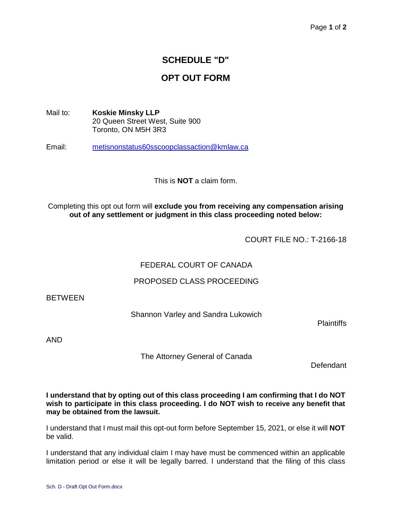# **SCHEDULE "D"**

# **OPT OUT FORM**

Mail to: **Koskie Minsky LLP**  20 Queen Street West, Suite 900 Toronto, ON M5H 3R3

Email: [metisnonstatus60sscoopclassaction@kmlaw.ca](mailto:metisnonstatus60sscoopclassaction@kmlaw.ca)

This is **NOT** a claim form.

Completing this opt out form will **exclude you from receiving any compensation arising out of any settlement or judgment in this class proceeding noted below:**

COURT FILE NO.: T-2166-18

### FEDERAL COURT OF CANADA

### PROPOSED CLASS PROCEEDING

**BETWEEN** 

Shannon Varley and Sandra Lukowich

**Plaintiffs** 

AND

The Attorney General of Canada

Defendant

**I understand that by opting out of this class proceeding I am confirming that I do NOT wish to participate in this class proceeding. I do NOT wish to receive any benefit that may be obtained from the lawsuit.**

I understand that I must mail this opt-out form before September 15, 2021, or else it will **NOT** be valid.

I understand that any individual claim I may have must be commenced within an applicable limitation period or else it will be legally barred. I understand that the filing of this class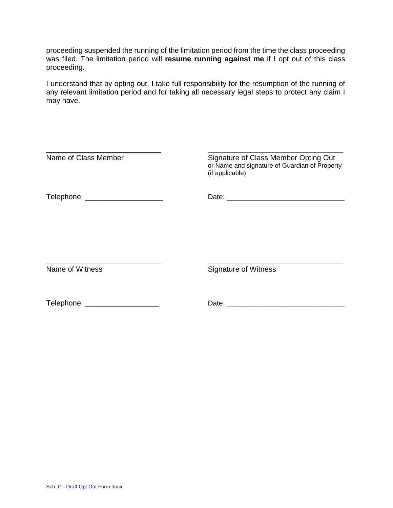proceeding suspended the running of the limitation period from the time the class proceeding was filed. The limitation period will **resume running against me** if I opt out of this class proceeding.

I understand that by opting out, I take full responsibility for the resumption of the running of any relevant limitation period and for taking all necessary legal steps to protect any claim I may have.

| Name of Class Member            | Signature of Class Member Opting Out<br>or Name and signature of Guardian of Property<br>(if applicable)                                                                                                                       |
|---------------------------------|--------------------------------------------------------------------------------------------------------------------------------------------------------------------------------------------------------------------------------|
| Telephone: ____________________ |                                                                                                                                                                                                                                |
|                                 |                                                                                                                                                                                                                                |
| Name of Witness                 | <b>Signature of Witness</b>                                                                                                                                                                                                    |
| Telephone: ___________________  | Date: the contract of the contract of the contract of the contract of the contract of the contract of the contract of the contract of the contract of the contract of the contract of the contract of the contract of the cont |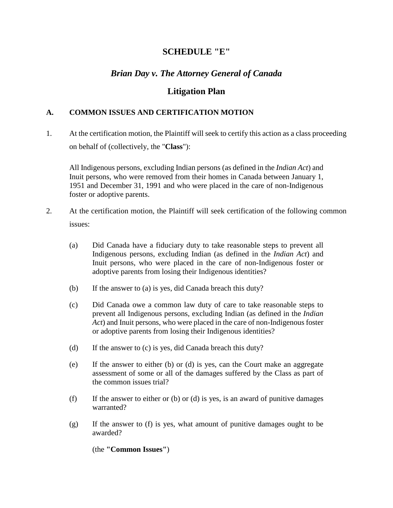### **SCHEDULE "E"**

## *Brian Day v. The Attorney General of Canada*

### **Litigation Plan**

### **A. COMMON ISSUES AND CERTIFICATION MOTION**

1. At the certification motion, the Plaintiff will seek to certify this action as a class proceeding on behalf of (collectively, the "**Class**"):

All Indigenous persons, excluding Indian persons (as defined in the *Indian Act*) and Inuit persons, who were removed from their homes in Canada between January 1, 1951 and December 31, 1991 and who were placed in the care of non-Indigenous foster or adoptive parents.

- 2. At the certification motion, the Plaintiff will seek certification of the following common issues:
	- (a) Did Canada have a fiduciary duty to take reasonable steps to prevent all Indigenous persons, excluding Indian (as defined in the *Indian Act*) and Inuit persons, who were placed in the care of non-Indigenous foster or adoptive parents from losing their Indigenous identities?
	- (b) If the answer to (a) is yes, did Canada breach this duty?
	- (c) Did Canada owe a common law duty of care to take reasonable steps to prevent all Indigenous persons, excluding Indian (as defined in the *Indian Act*) and Inuit persons, who were placed in the care of non-Indigenous foster or adoptive parents from losing their Indigenous identities?
	- (d) If the answer to (c) is yes, did Canada breach this duty?
	- (e) If the answer to either (b) or (d) is yes, can the Court make an aggregate assessment of some or all of the damages suffered by the Class as part of the common issues trial?
	- (f) If the answer to either or (b) or (d) is yes, is an award of punitive damages warranted?
	- (g) If the answer to (f) is yes, what amount of punitive damages ought to be awarded?

(the **"Common Issues"**)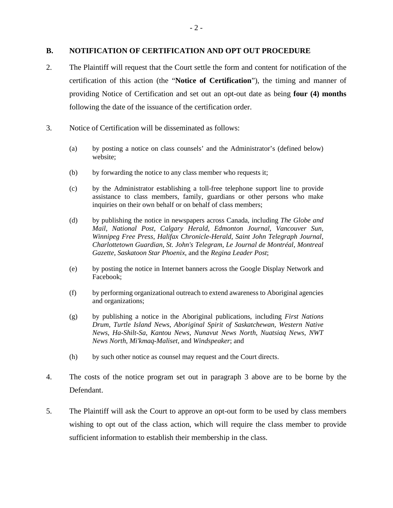#### **B. NOTIFICATION OF CERTIFICATION AND OPT OUT PROCEDURE**

- 2. The Plaintiff will request that the Court settle the form and content for notification of the certification of this action (the "**Notice of Certification**"), the timing and manner of providing Notice of Certification and set out an opt-out date as being **four (4) months** following the date of the issuance of the certification order.
- 3. Notice of Certification will be disseminated as follows:
	- (a) by posting a notice on class counsels' and the Administrator's (defined below) website;
	- (b) by forwarding the notice to any class member who requests it;
	- (c) by the Administrator establishing a toll-free telephone support line to provide assistance to class members, family, guardians or other persons who make inquiries on their own behalf or on behalf of class members;
	- (d) by publishing the notice in newspapers across Canada, including *The Globe and Mail*, *National Post*, *Calgary Herald*, *Edmonton Journal*, *Vancouver Sun*, *Winnipeg Free Press*, *Halifax Chronicle-Herald*, *Saint John Telegraph Journal*, *Charlottetown Guardian*, *St. John's Telegram*, *Le Journal de Montréal*, *Montreal Gazette*, *Saskatoon Star Phoenix*, and the *Regina Leader Post*;
	- (e) by posting the notice in Internet banners across the Google Display Network and Facebook;
	- (f) by performing organizational outreach to extend awareness to Aboriginal agencies and organizations;
	- (g) by publishing a notice in the Aboriginal publications, including *First Nations Drum*, *Turtle Island News*, *Aboriginal Spirit of Saskatchewan*, *Western Native News*, *Ha-Shilt-Sa*, *Kantou News*, *Nunavut News North*, *Nuatsiaq News*, *NWT News North*, *Mi'kmaq-Maliset*, and *Windspeaker*; and
	- (h) by such other notice as counsel may request and the Court directs.
- 4. The costs of the notice program set out in paragraph 3 above are to be borne by the Defendant.
- 5. The Plaintiff will ask the Court to approve an opt-out form to be used by class members wishing to opt out of the class action, which will require the class member to provide sufficient information to establish their membership in the class.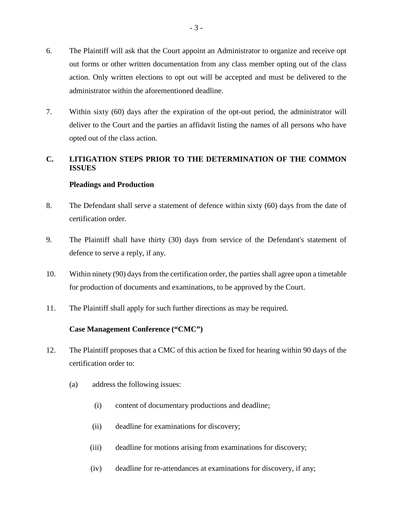- 6. The Plaintiff will ask that the Court appoint an Administrator to organize and receive opt out forms or other written documentation from any class member opting out of the class action. Only written elections to opt out will be accepted and must be delivered to the administrator within the aforementioned deadline.
- 7. Within sixty (60) days after the expiration of the opt-out period, the administrator will deliver to the Court and the parties an affidavit listing the names of all persons who have opted out of the class action.

### **C. LITIGATION STEPS PRIOR TO THE DETERMINATION OF THE COMMON ISSUES**

### **Pleadings and Production**

- 8. The Defendant shall serve a statement of defence within sixty (60) days from the date of certification order.
- 9. The Plaintiff shall have thirty (30) days from service of the Defendant's statement of defence to serve a reply, if any.
- 10. Within ninety (90) days from the certification order, the parties shall agree upon a timetable for production of documents and examinations, to be approved by the Court.
- 11. The Plaintiff shall apply for such further directions as may be required.

### **Case Management Conference ("CMC")**

- 12. The Plaintiff proposes that a CMC of this action be fixed for hearing within 90 days of the certification order to:
	- (a) address the following issues:
		- (i) content of documentary productions and deadline;
		- (ii) deadline for examinations for discovery;
		- (iii) deadline for motions arising from examinations for discovery;
		- (iv) deadline for re-attendances at examinations for discovery, if any;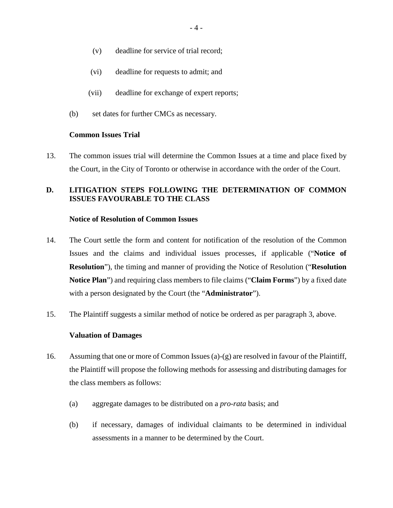- (v) deadline for service of trial record;
- (vi) deadline for requests to admit; and
- (vii) deadline for exchange of expert reports;
- (b) set dates for further CMCs as necessary.

#### **Common Issues Trial**

13. The common issues trial will determine the Common Issues at a time and place fixed by the Court, in the City of Toronto or otherwise in accordance with the order of the Court.

### **D. LITIGATION STEPS FOLLOWING THE DETERMINATION OF COMMON ISSUES FAVOURABLE TO THE CLASS**

#### **Notice of Resolution of Common Issues**

- 14. The Court settle the form and content for notification of the resolution of the Common Issues and the claims and individual issues processes, if applicable ("**Notice of Resolution**"), the timing and manner of providing the Notice of Resolution ("**Resolution Notice Plan**") and requiring class members to file claims ("**Claim Forms**") by a fixed date with a person designated by the Court (the "**Administrator**").
- 15. The Plaintiff suggests a similar method of notice be ordered as per paragraph 3, above.

#### **Valuation of Damages**

- 16. Assuming that one or more of Common Issues (a)-(g) are resolved in favour of the Plaintiff, the Plaintiff will propose the following methods for assessing and distributing damages for the class members as follows:
	- (a) aggregate damages to be distributed on a *pro-rata* basis; and
	- (b) if necessary, damages of individual claimants to be determined in individual assessments in a manner to be determined by the Court.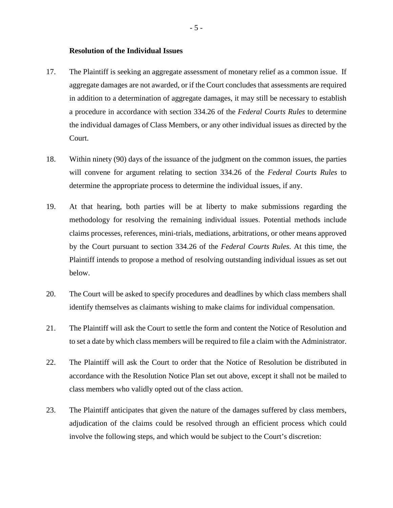#### **Resolution of the Individual Issues**

- 17. The Plaintiff is seeking an aggregate assessment of monetary relief as a common issue. If aggregate damages are not awarded, or if the Court concludes that assessments are required in addition to a determination of aggregate damages, it may still be necessary to establish a procedure in accordance with section 334.26 of the *Federal Courts Rules* to determine the individual damages of Class Members, or any other individual issues as directed by the Court.
- 18. Within ninety (90) days of the issuance of the judgment on the common issues, the parties will convene for argument relating to section 334.26 of the *Federal Courts Rules* to determine the appropriate process to determine the individual issues, if any.
- 19. At that hearing, both parties will be at liberty to make submissions regarding the methodology for resolving the remaining individual issues. Potential methods include claims processes, references, mini-trials, mediations, arbitrations, or other means approved by the Court pursuant to section 334.26 of the *Federal Courts Rules*. At this time, the Plaintiff intends to propose a method of resolving outstanding individual issues as set out below.
- 20. The Court will be asked to specify procedures and deadlines by which class members shall identify themselves as claimants wishing to make claims for individual compensation.
- 21. The Plaintiff will ask the Court to settle the form and content the Notice of Resolution and to set a date by which class members will be required to file a claim with the Administrator.
- 22. The Plaintiff will ask the Court to order that the Notice of Resolution be distributed in accordance with the Resolution Notice Plan set out above, except it shall not be mailed to class members who validly opted out of the class action.
- 23. The Plaintiff anticipates that given the nature of the damages suffered by class members, adjudication of the claims could be resolved through an efficient process which could involve the following steps, and which would be subject to the Court's discretion: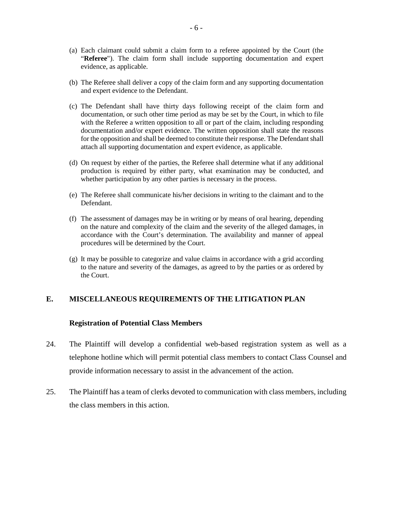- (a) Each claimant could submit a claim form to a referee appointed by the Court (the "**Referee**"). The claim form shall include supporting documentation and expert evidence, as applicable.
- (b) The Referee shall deliver a copy of the claim form and any supporting documentation and expert evidence to the Defendant.
- (c) The Defendant shall have thirty days following receipt of the claim form and documentation, or such other time period as may be set by the Court, in which to file with the Referee a written opposition to all or part of the claim, including responding documentation and/or expert evidence. The written opposition shall state the reasons for the opposition and shall be deemed to constitute their response. The Defendant shall attach all supporting documentation and expert evidence, as applicable.
- (d) On request by either of the parties, the Referee shall determine what if any additional production is required by either party, what examination may be conducted, and whether participation by any other parties is necessary in the process.
- (e) The Referee shall communicate his/her decisions in writing to the claimant and to the Defendant.
- (f) The assessment of damages may be in writing or by means of oral hearing, depending on the nature and complexity of the claim and the severity of the alleged damages, in accordance with the Court's determination. The availability and manner of appeal procedures will be determined by the Court.
- (g) It may be possible to categorize and value claims in accordance with a grid according to the nature and severity of the damages, as agreed to by the parties or as ordered by the Court.

#### **E. MISCELLANEOUS REQUIREMENTS OF THE LITIGATION PLAN**

#### **Registration of Potential Class Members**

- 24. The Plaintiff will develop a confidential web-based registration system as well as a telephone hotline which will permit potential class members to contact Class Counsel and provide information necessary to assist in the advancement of the action.
- 25. The Plaintiff has a team of clerks devoted to communication with class members, including the class members in this action.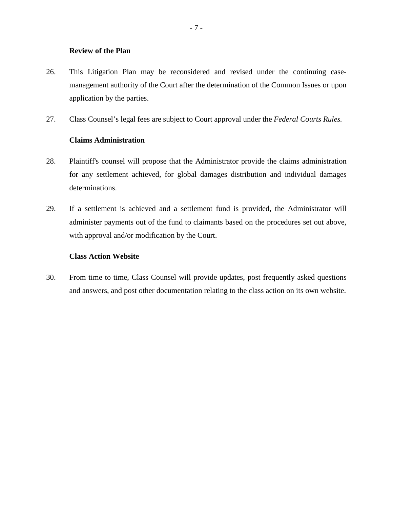#### **Review of the Plan**

- 26. This Litigation Plan may be reconsidered and revised under the continuing casemanagement authority of the Court after the determination of the Common Issues or upon application by the parties.
- 27. Class Counsel's legal fees are subject to Court approval under the *Federal Courts Rules.*

#### **Claims Administration**

- 28. Plaintiff's counsel will propose that the Administrator provide the claims administration for any settlement achieved, for global damages distribution and individual damages determinations.
- 29. If a settlement is achieved and a settlement fund is provided, the Administrator will administer payments out of the fund to claimants based on the procedures set out above, with approval and/or modification by the Court.

#### **Class Action Website**

30. From time to time, Class Counsel will provide updates, post frequently asked questions and answers, and post other documentation relating to the class action on its own website.